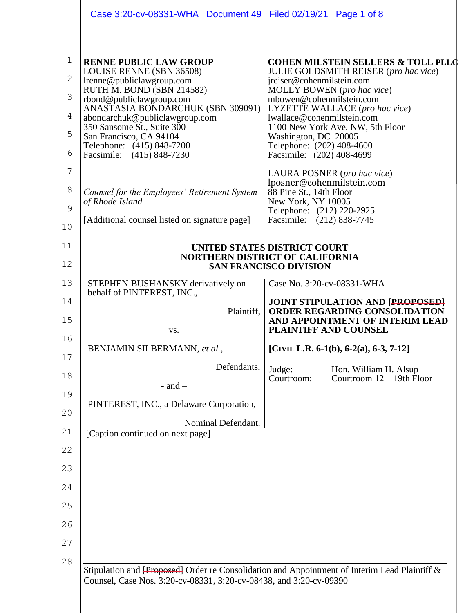|                                                 | Case 3:20-cv-08331-WHA  Document 49  Filed 02/19/21  Page 1 of 8                                                                                                                                                                                                                                                                          |                                                                                                                                                                                                     |                                                                                                                                                              |
|-------------------------------------------------|-------------------------------------------------------------------------------------------------------------------------------------------------------------------------------------------------------------------------------------------------------------------------------------------------------------------------------------------|-----------------------------------------------------------------------------------------------------------------------------------------------------------------------------------------------------|--------------------------------------------------------------------------------------------------------------------------------------------------------------|
| $\mathbf 1$<br>$\mathbf{2}$<br>3<br>4<br>5<br>6 | <b>RENNE PUBLIC LAW GROUP</b><br>LOUISE RENNE (SBN 36508)<br>lrenne@publiclawgroup.com<br>RUTH M. BOND (SBN 214582)<br>rbond@publiclawgroup.com<br>ANASTASIA BONDARCHUK (SBN 309091)<br>abondarchuk@publiclawgroup.com<br>350 Sansome St., Suite 300<br>San Francisco, CA 94104<br>Telephone: (415) 848-7200<br>Facsimile: (415) 848-7230 | jreiser@cohenmilstein.com<br>MOLLY BOWEN (pro hac vice)<br>mbowen@cohenmilstein.com<br>lwallace@cohenmilstein.com<br>Washington, DC 20005<br>Telephone: (202) 408-4600<br>Facsimile: (202) 408-4699 | <b>COHEN MILSTEIN SELLERS &amp; TOLL PLLC</b><br>JULIE GOLDSMITH REISER (pro hac vice)<br>LYZETTE WALLACE (pro hac vice)<br>1100 New York Ave. NW, 5th Floor |
| 7<br>8<br>9<br>10                               | Counsel for the Employees' Retirement System<br>of Rhode Island<br>[Additional counsel listed on signature page]                                                                                                                                                                                                                          | LAURA POSNER (pro hac vice)<br>lposner@cohenmilstein.com<br>88 Pine St., 14th Floor<br>New York, NY 10005<br>Telephone: (212) 220-2925<br>Facsimile: (212) 838-7745                                 |                                                                                                                                                              |
| 11<br>12                                        | UNITED STATES DISTRICT COURT<br><b>NORTHERN DISTRICT OF CALIFORNIA</b><br><b>SAN FRANCISCO DIVISION</b>                                                                                                                                                                                                                                   |                                                                                                                                                                                                     |                                                                                                                                                              |
| 13                                              | STEPHEN BUSHANSKY derivatively on<br>behalf of PINTEREST, INC.,                                                                                                                                                                                                                                                                           | Case No. 3:20-cv-08331-WHA                                                                                                                                                                          |                                                                                                                                                              |
| 14<br>15                                        | Plaintiff,<br>VS.                                                                                                                                                                                                                                                                                                                         | <b>PLAINTIFF AND COUNSEL</b>                                                                                                                                                                        | <b>JOINT STIPULATION AND [PROPOSED]</b><br>ORDER REGARDING CONSOLIDATION<br>AND APPOINTMENT OF INTERIM LEAD                                                  |
| 16<br>17                                        | BENJAMIN SILBERMANN, et al.,                                                                                                                                                                                                                                                                                                              |                                                                                                                                                                                                     | [CIVIL L.R. 6-1(b), 6-2(a), 6-3, 7-12]                                                                                                                       |
| 18                                              | Defendants,<br>$-$ and $-$                                                                                                                                                                                                                                                                                                                | Judge:<br>Courtroom:                                                                                                                                                                                | Hon. William H. Alsup<br>Courtroom $12 - 19$ th Floor                                                                                                        |
| 19<br>20                                        | PINTEREST, INC., a Delaware Corporation,                                                                                                                                                                                                                                                                                                  |                                                                                                                                                                                                     |                                                                                                                                                              |
| 21                                              | Nominal Defendant.<br>[Caption continued on next page]                                                                                                                                                                                                                                                                                    |                                                                                                                                                                                                     |                                                                                                                                                              |
| 22                                              |                                                                                                                                                                                                                                                                                                                                           |                                                                                                                                                                                                     |                                                                                                                                                              |
| 23                                              |                                                                                                                                                                                                                                                                                                                                           |                                                                                                                                                                                                     |                                                                                                                                                              |
| 24                                              |                                                                                                                                                                                                                                                                                                                                           |                                                                                                                                                                                                     |                                                                                                                                                              |
| 25                                              |                                                                                                                                                                                                                                                                                                                                           |                                                                                                                                                                                                     |                                                                                                                                                              |
| 26                                              |                                                                                                                                                                                                                                                                                                                                           |                                                                                                                                                                                                     |                                                                                                                                                              |
| 27                                              |                                                                                                                                                                                                                                                                                                                                           |                                                                                                                                                                                                     |                                                                                                                                                              |
| 28                                              | Stipulation and [Proposed] Order re Consolidation and Appointment of Interim Lead Plaintiff &<br>Counsel, Case Nos. 3:20-cv-08331, 3:20-cv-08438, and 3:20-cv-09390                                                                                                                                                                       |                                                                                                                                                                                                     |                                                                                                                                                              |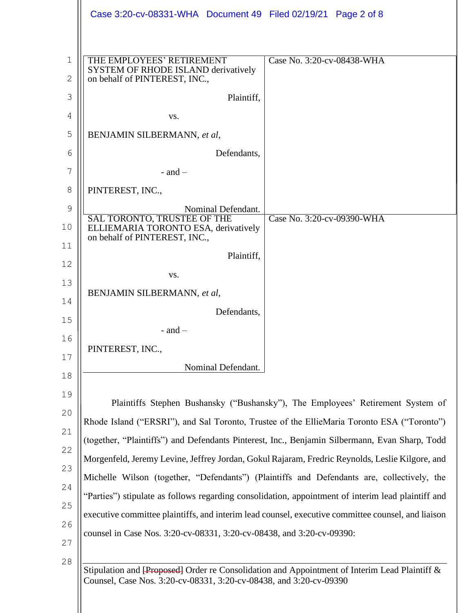|                              | Case 3:20-cv-08331-WHA  Document 49  Filed 02/19/21  Page 2 of 8                                                                                                    |                                                                                 |  |
|------------------------------|---------------------------------------------------------------------------------------------------------------------------------------------------------------------|---------------------------------------------------------------------------------|--|
|                              |                                                                                                                                                                     |                                                                                 |  |
| $\mathbf{1}$<br>$\mathbf{2}$ | THE EMPLOYEES' RETIREMENT<br>SYSTEM OF RHODE ISLAND derivatively<br>on behalf of PINTEREST, INC.,                                                                   | Case No. 3:20-cv-08438-WHA                                                      |  |
| 3                            | Plaintiff,                                                                                                                                                          |                                                                                 |  |
| 4                            | VS.                                                                                                                                                                 |                                                                                 |  |
| 5                            | BENJAMIN SILBERMANN, et al,                                                                                                                                         |                                                                                 |  |
| 6                            | Defendants,                                                                                                                                                         |                                                                                 |  |
| 7                            | - and $-$                                                                                                                                                           |                                                                                 |  |
| 8                            | PINTEREST, INC.,                                                                                                                                                    |                                                                                 |  |
| 9                            | Nominal Defendant.                                                                                                                                                  |                                                                                 |  |
| 10                           | SAL TORONTO, TRUSTEE OF THE<br>ELLIEMARIA TORONTO ESA, derivatively<br>on behalf of PINTEREST, INC.,                                                                | Case No. 3:20-cv-09390-WHA                                                      |  |
| 11                           | Plaintiff,                                                                                                                                                          |                                                                                 |  |
| 12                           | VS.                                                                                                                                                                 |                                                                                 |  |
| 13                           | BENJAMIN SILBERMANN, et al,                                                                                                                                         |                                                                                 |  |
| 14                           | Defendants,                                                                                                                                                         |                                                                                 |  |
| 15                           | $-$ and $-$                                                                                                                                                         |                                                                                 |  |
| 16                           | PINTEREST, INC.,                                                                                                                                                    |                                                                                 |  |
| 17                           | Nominal Defendant.                                                                                                                                                  |                                                                                 |  |
| 18                           |                                                                                                                                                                     |                                                                                 |  |
| 19                           |                                                                                                                                                                     | Plaintiffs Stephen Bushansky ("Bushansky"), The Employees' Retirement System of |  |
| 20                           | Rhode Island ("ERSRI"), and Sal Toronto, Trustee of the EllieMaria Toronto ESA ("Toronto")                                                                          |                                                                                 |  |
| 21                           | (together, "Plaintiffs") and Defendants Pinterest, Inc., Benjamin Silbermann, Evan Sharp, Todd                                                                      |                                                                                 |  |
| 22                           | Morgenfeld, Jeremy Levine, Jeffrey Jordan, Gokul Rajaram, Fredric Reynolds, Leslie Kilgore, and                                                                     |                                                                                 |  |
| 23                           | Michelle Wilson (together, "Defendants") (Plaintiffs and Defendants are, collectively, the                                                                          |                                                                                 |  |
| 24                           | "Parties") stipulate as follows regarding consolidation, appointment of interim lead plaintiff and                                                                  |                                                                                 |  |
| 25                           | executive committee plaintiffs, and interim lead counsel, executive committee counsel, and liaison                                                                  |                                                                                 |  |
| 26<br>27                     | counsel in Case Nos. 3:20-cv-08331, 3:20-cv-08438, and 3:20-cv-09390:                                                                                               |                                                                                 |  |
| 28                           | Stipulation and [Proposed] Order re Consolidation and Appointment of Interim Lead Plaintiff &<br>Counsel, Case Nos. 3:20-cv-08331, 3:20-cv-08438, and 3:20-cv-09390 |                                                                                 |  |
|                              |                                                                                                                                                                     |                                                                                 |  |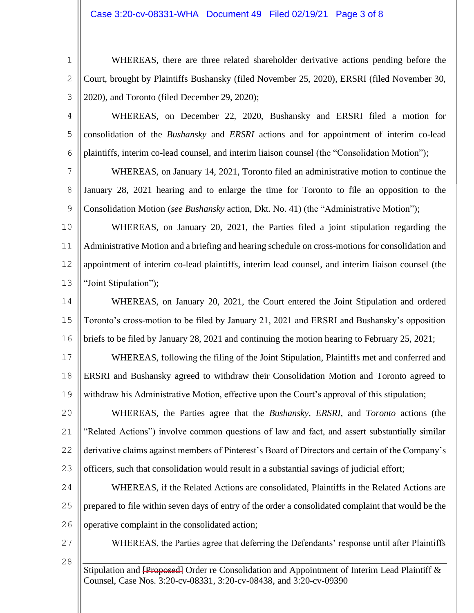## Case 3:20-cv-08331-WHA Document 49 Filed 02/19/21 Page 3 of 8

1 2 3 WHEREAS, there are three related shareholder derivative actions pending before the Court, brought by Plaintiffs Bushansky (filed November 25, 2020), ERSRI (filed November 30, 2020), and Toronto (filed December 29, 2020);

4

5

6

WHEREAS, on December 22, 2020, Bushansky and ERSRI filed a motion for consolidation of the *Bushansky* and *ERSRI* actions and for appointment of interim co-lead plaintiffs, interim co-lead counsel, and interim liaison counsel (the "Consolidation Motion");

7 8 9 WHEREAS, on January 14, 2021, Toronto filed an administrative motion to continue the January 28, 2021 hearing and to enlarge the time for Toronto to file an opposition to the Consolidation Motion (*see Bushansky* action, Dkt. No. 41) (the "Administrative Motion");

10 11 12 13 WHEREAS, on January 20, 2021, the Parties filed a joint stipulation regarding the Administrative Motion and a briefing and hearing schedule on cross-motions for consolidation and appointment of interim co-lead plaintiffs, interim lead counsel, and interim liaison counsel (the "Joint Stipulation");

14 15 16 WHEREAS, on January 20, 2021, the Court entered the Joint Stipulation and ordered Toronto's cross-motion to be filed by January 21, 2021 and ERSRI and Bushansky's opposition briefs to be filed by January 28, 2021 and continuing the motion hearing to February 25, 2021;

17 18 19 WHEREAS, following the filing of the Joint Stipulation, Plaintiffs met and conferred and ERSRI and Bushansky agreed to withdraw their Consolidation Motion and Toronto agreed to withdraw his Administrative Motion, effective upon the Court's approval of this stipulation;

20 21 22 23 WHEREAS, the Parties agree that the *Bushansky*, *ERSRI*, and *Toronto* actions (the "Related Actions") involve common questions of law and fact, and assert substantially similar derivative claims against members of Pinterest's Board of Directors and certain of the Company's officers, such that consolidation would result in a substantial savings of judicial effort;

24 25 26 WHEREAS, if the Related Actions are consolidated, Plaintiffs in the Related Actions are prepared to file within seven days of entry of the order a consolidated complaint that would be the operative complaint in the consolidated action;

27

28

WHEREAS, the Parties agree that deferring the Defendants' response until after Plaintiffs

Stipulation and <del>[Proposed]</del> Order re Consolidation and Appointment of Interim Lead Plaintiff & Counsel, Case Nos. 3:20-cv-08331, 3:20-cv-08438, and 3:20-cv-09390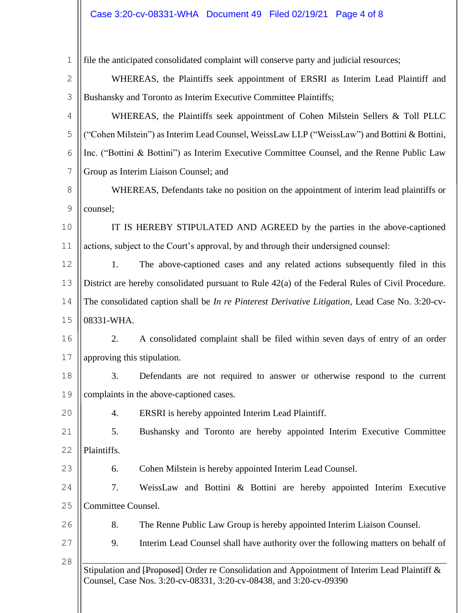## Case 3:20-cv-08331-WHA Document 49 Filed 02/19/21 Page 4 of 8

| $1\,$         |                                                                                                         | file the anticipated consolidated complaint will conserve party and judicial resources;                                                                             |
|---------------|---------------------------------------------------------------------------------------------------------|---------------------------------------------------------------------------------------------------------------------------------------------------------------------|
| $\mathbf{2}$  |                                                                                                         | WHEREAS, the Plaintiffs seek appointment of ERSRI as Interim Lead Plaintiff and                                                                                     |
| 3             |                                                                                                         | Bushansky and Toronto as Interim Executive Committee Plaintiffs;                                                                                                    |
| 4             |                                                                                                         | WHEREAS, the Plaintiffs seek appointment of Cohen Milstein Sellers & Toll PLLC                                                                                      |
| 5             |                                                                                                         | "Cohen Milstein") as Interim Lead Counsel, WeissLaw LLP ("WeissLaw") and Bottini & Bottini,                                                                         |
| 6             |                                                                                                         | Inc. ("Bottini & Bottini") as Interim Executive Committee Counsel, and the Renne Public Law                                                                         |
| 7             |                                                                                                         | Group as Interim Liaison Counsel; and                                                                                                                               |
| 8             | WHEREAS, Defendants take no position on the appointment of interim lead plaintiffs or                   |                                                                                                                                                                     |
| $\mathcal{G}$ | counsel;                                                                                                |                                                                                                                                                                     |
| 10            |                                                                                                         | IT IS HEREBY STIPULATED AND AGREED by the parties in the above-captioned                                                                                            |
| 11            |                                                                                                         | actions, subject to the Court's approval, by and through their undersigned counsel:                                                                                 |
| 12            | 1.                                                                                                      | The above-captioned cases and any related actions subsequently filed in this                                                                                        |
| 13            |                                                                                                         | District are hereby consolidated pursuant to Rule 42(a) of the Federal Rules of Civil Procedure.                                                                    |
| 14            | The consolidated caption shall be <i>In re Pinterest Derivative Litigation</i> , Lead Case No. 3:20-cv- |                                                                                                                                                                     |
| 15            | 08331-WHA.                                                                                              |                                                                                                                                                                     |
| 16            | 2.                                                                                                      | A consolidated complaint shall be filed within seven days of entry of an order                                                                                      |
| 17            | approving this stipulation.                                                                             |                                                                                                                                                                     |
| 18            | 3.                                                                                                      | Defendants are not required to answer or otherwise respond to the current                                                                                           |
| 19            |                                                                                                         | complaints in the above-captioned cases.                                                                                                                            |
| 20            | 4.                                                                                                      | ERSRI is hereby appointed Interim Lead Plaintiff.                                                                                                                   |
| 21            | 5.                                                                                                      | Bushansky and Toronto are hereby appointed Interim Executive Committee                                                                                              |
| 22            | Plaintiffs.                                                                                             |                                                                                                                                                                     |
| 23            | 6.                                                                                                      | Cohen Milstein is hereby appointed Interim Lead Counsel.                                                                                                            |
| 24            | 7.                                                                                                      | WeissLaw and Bottini & Bottini are hereby appointed Interim Executive                                                                                               |
| 25            | Committee Counsel.                                                                                      |                                                                                                                                                                     |
| 26            | 8.                                                                                                      | The Renne Public Law Group is hereby appointed Interim Liaison Counsel.                                                                                             |
| 27            | 9.                                                                                                      | Interim Lead Counsel shall have authority over the following matters on behalf of                                                                                   |
| 28            |                                                                                                         | Stipulation and [Proposed] Order re Consolidation and Appointment of Interim Lead Plaintiff &<br>Counsel, Case Nos. 3:20-cv-08331, 3:20-cv-08438, and 3:20-cv-09390 |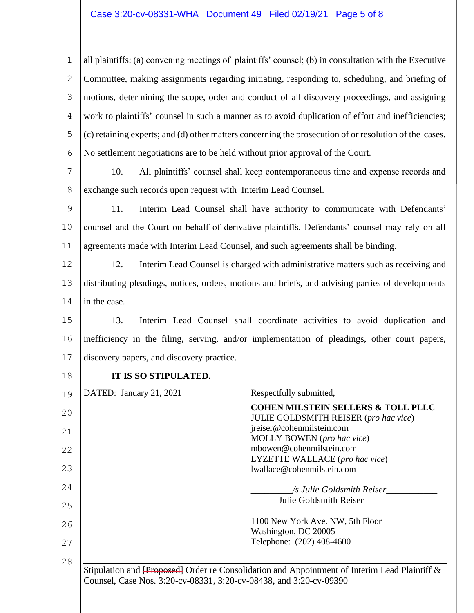## Case 3:20-cv-08331-WHA Document 49 Filed 02/19/21 Page 5 of 8

1 2 3 4 5 6 all plaintiffs: (a) convening meetings of plaintiffs' counsel; (b) in consultation with the Executive Committee, making assignments regarding initiating, responding to, scheduling, and briefing of motions, determining the scope, order and conduct of all discovery proceedings, and assigning work to plaintiffs' counsel in such a manner as to avoid duplication of effort and inefficiencies; (c) retaining experts; and (d) other matters concerning the prosecution of or resolution of the cases. No settlement negotiations are to be held without prior approval of the Court.

7 8 10. All plaintiffs' counsel shall keep contemporaneous time and expense records and exchange such records upon request with Interim Lead Counsel.

9 10 11 11. Interim Lead Counsel shall have authority to communicate with Defendants' counsel and the Court on behalf of derivative plaintiffs. Defendants' counsel may rely on all agreements made with Interim Lead Counsel, and such agreements shall be binding.

12 13 14 12. Interim Lead Counsel is charged with administrative matters such as receiving and distributing pleadings, notices, orders, motions and briefs, and advising parties of developments in the case.

15 16 17 13. Interim Lead Counsel shall coordinate activities to avoid duplication and inefficiency in the filing, serving, and/or implementation of pleadings, other court papers, discovery papers, and discovery practice.

18

## **IT IS SO STIPULATED.**

| 19 | DATED: January 21, 2021 | Respectfully submitted,                                                                                                                                             |
|----|-------------------------|---------------------------------------------------------------------------------------------------------------------------------------------------------------------|
| 20 |                         | <b>COHEN MILSTEIN SELLERS &amp; TOLL PLLC</b><br><b>JULIE GOLDSMITH REISER</b> (pro hac vice)                                                                       |
| 21 |                         | jreiser@cohenmilstein.com<br>MOLLY BOWEN (pro hac vice)                                                                                                             |
| 22 |                         | mbowen@cohenmilstein.com<br>LYZETTE WALLACE (pro hac vice)                                                                                                          |
| 23 |                         | lwallace@cohenmilstein.com                                                                                                                                          |
| 24 |                         | /s Julie Goldsmith Reiser                                                                                                                                           |
| 25 |                         | Julie Goldsmith Reiser                                                                                                                                              |
| 26 |                         | 1100 New York Ave. NW, 5th Floor<br>Washington, DC 20005                                                                                                            |
| 27 |                         | Telephone: (202) 408-4600                                                                                                                                           |
| 28 |                         |                                                                                                                                                                     |
|    |                         | Stipulation and [Proposed] Order re Consolidation and Appointment of Interim Lead Plaintiff &<br>Counsel, Case Nos. 3:20-cv-08331, 3:20-cv-08438, and 3:20-cv-09390 |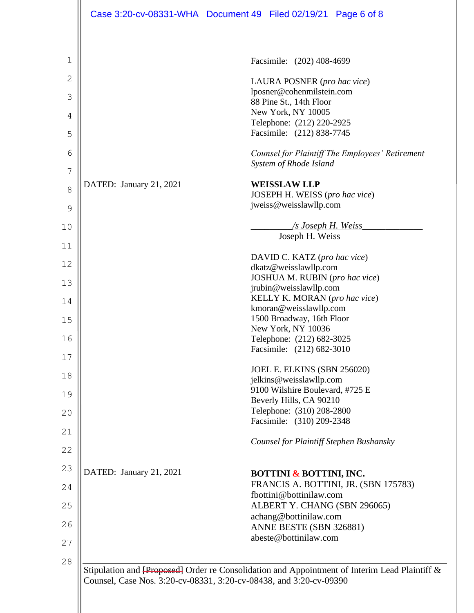|    |                         | Case 3:20-cv-08331-WHA Document 49 Filed 02/19/21 Page 6 of 8                                                                                                       |
|----|-------------------------|---------------------------------------------------------------------------------------------------------------------------------------------------------------------|
|    |                         |                                                                                                                                                                     |
| 1  |                         | Facsimile: (202) 408-4699                                                                                                                                           |
| 2  |                         | LAURA POSNER (pro hac vice)                                                                                                                                         |
| 3  |                         | lposner@cohenmilstein.com<br>88 Pine St., 14th Floor                                                                                                                |
| 4  |                         | New York, NY 10005                                                                                                                                                  |
| 5  |                         | Telephone: (212) 220-2925<br>Facsimile: (212) 838-7745                                                                                                              |
| 6  |                         | Counsel for Plaintiff The Employees' Retirement                                                                                                                     |
| 7  |                         | System of Rhode Island                                                                                                                                              |
| 8  | DATED: January 21, 2021 | <b>WEISSLAW LLP</b><br>JOSEPH H. WEISS (pro hac vice)                                                                                                               |
| 9  |                         | jweiss@weisslawllp.com                                                                                                                                              |
| 10 |                         | <u>/s Joseph H. Weiss</u>                                                                                                                                           |
| 11 |                         | Joseph H. Weiss                                                                                                                                                     |
| 12 |                         | DAVID C. KATZ (pro hac vice)<br>dkatz@weisslawllp.com                                                                                                               |
| 13 |                         | JOSHUA M. RUBIN (pro hac vice)<br>jrubin@weisslawllp.com                                                                                                            |
| 14 |                         | KELLY K. MORAN (pro hac vice)                                                                                                                                       |
| 15 |                         | kmoran@weisslawllp.com<br>1500 Broadway, 16th Floor                                                                                                                 |
| 16 |                         | New York, NY 10036<br>Telephone: (212) 682-3025                                                                                                                     |
| 17 |                         | Facsimile: (212) 682-3010                                                                                                                                           |
| 18 |                         | JOEL E. ELKINS (SBN 256020)                                                                                                                                         |
| 19 |                         | jelkins@weisslawllp.com<br>9100 Wilshire Boulevard, #725 E                                                                                                          |
| 20 |                         | Beverly Hills, CA 90210<br>Telephone: (310) 208-2800                                                                                                                |
|    |                         | Facsimile: (310) 209-2348                                                                                                                                           |
| 21 |                         | <b>Counsel for Plaintiff Stephen Bushansky</b>                                                                                                                      |
| 22 |                         |                                                                                                                                                                     |
| 23 | DATED: January 21, 2021 | <b>BOTTINI &amp; BOTTINI, INC.</b><br>FRANCIS A. BOTTINI, JR. (SBN 175783)                                                                                          |
| 24 |                         | fbottini@bottinilaw.com                                                                                                                                             |
| 25 |                         | ALBERT Y. CHANG (SBN 296065)<br>achang@bottinilaw.com                                                                                                               |
| 26 |                         | ANNE BESTE (SBN 326881)<br>abeste@bottinilaw.com                                                                                                                    |
| 27 |                         |                                                                                                                                                                     |
| 28 |                         | Stipulation and [Proposed] Order re Consolidation and Appointment of Interim Lead Plaintiff &<br>Counsel, Case Nos. 3:20-cv-08331, 3:20-cv-08438, and 3:20-cv-09390 |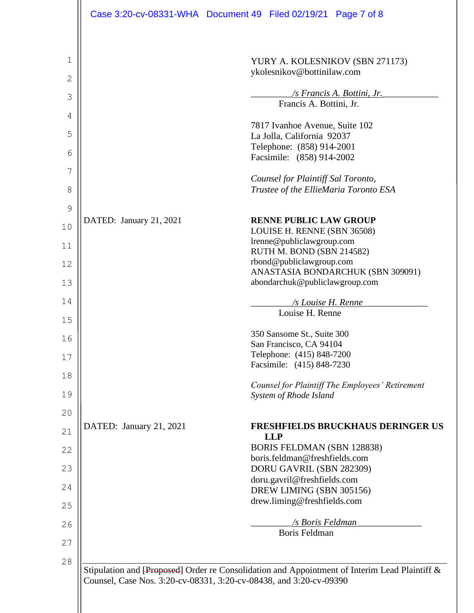|               |                         | Case 3:20-cv-08331-WHA Document 49 Filed 02/19/21 Page 7 of 8                                                                                                       |
|---------------|-------------------------|---------------------------------------------------------------------------------------------------------------------------------------------------------------------|
| 1             |                         | YURY A. KOLESNIKOV (SBN 271173)                                                                                                                                     |
| 2             |                         | ykolesnikov@bottinilaw.com                                                                                                                                          |
| 3             |                         | /s Francis A. Bottini, Jr.                                                                                                                                          |
| 4             |                         | Francis A. Bottini, Jr.                                                                                                                                             |
| 5             |                         | 7817 Ivanhoe Avenue, Suite 102                                                                                                                                      |
|               |                         | La Jolla, California 92037<br>Telephone: (858) 914-2001                                                                                                             |
| 6             |                         | Facsimile: (858) 914-2002                                                                                                                                           |
| 7             |                         | Counsel for Plaintiff Sal Toronto,                                                                                                                                  |
| 8             |                         | Trustee of the EllieMaria Toronto ESA                                                                                                                               |
| $\mathcal{G}$ | DATED: January 21, 2021 | <b>RENNE PUBLIC LAW GROUP</b>                                                                                                                                       |
| 10            |                         | LOUISE H. RENNE (SBN 36508)                                                                                                                                         |
| 11            |                         | lrenne@publiclawgroup.com<br>RUTH M. BOND (SBN 214582)                                                                                                              |
| 12            |                         | rbond@publiclawgroup.com<br>ANASTASIA BONDARCHUK (SBN 309091)                                                                                                       |
| 13            |                         | abondarchuk@publiclawgroup.com                                                                                                                                      |
| 14            |                         | /s Louise H. Renne                                                                                                                                                  |
| 15            |                         | Louise H. Renne                                                                                                                                                     |
| 16            |                         | 350 Sansome St., Suite 300<br>San Francisco, CA 94104                                                                                                               |
| 17            |                         | Telephone: (415) 848-7200                                                                                                                                           |
| 18            |                         | Facsimile: (415) 848-7230                                                                                                                                           |
| 19            |                         | Counsel for Plaintiff The Employees' Retirement<br>System of Rhode Island                                                                                           |
| 20            |                         |                                                                                                                                                                     |
| 21            | DATED: January 21, 2021 | <b>FRESHFIELDS BRUCKHAUS DERINGER US</b><br><b>LLP</b>                                                                                                              |
| 22            |                         | <b>BORIS FELDMAN (SBN 128838)</b>                                                                                                                                   |
| 23            |                         | boris.feldman@freshfields.com<br>DORU GAVRIL (SBN 282309)                                                                                                           |
| 24            |                         | doru.gavril@freshfields.com<br>DREW LIMING (SBN 305156)                                                                                                             |
| 25            |                         | drew.liming@freshfields.com                                                                                                                                         |
| 26            |                         | /s Boris Feldman                                                                                                                                                    |
| 27            |                         | Boris Feldman                                                                                                                                                       |
| 28            |                         |                                                                                                                                                                     |
|               |                         | Stipulation and [Proposed] Order re Consolidation and Appointment of Interim Lead Plaintiff &<br>Counsel, Case Nos. 3:20-cv-08331, 3:20-cv-08438, and 3:20-cv-09390 |